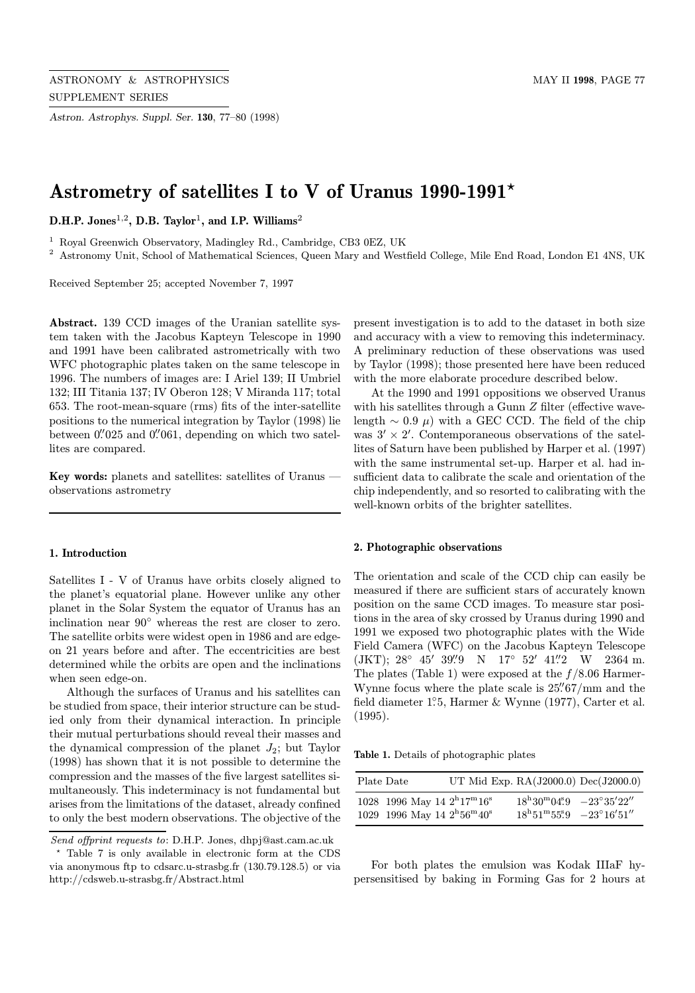Astron. Astrophys. Suppl. Ser. 130, 77–80 (1998)

# Astrometry of satellites I to V of Uranus  $1990-1991*$

D.H.P. Jones<sup>1,2</sup>, D.B. Taylor<sup>1</sup>, and I.P. Williams<sup>2</sup>

<sup>1</sup> Royal Greenwich Observatory, Madingley Rd., Cambridge, CB3 0EZ, UK

<sup>2</sup> Astronomy Unit, School of Mathematical Sciences, Queen Mary and Westfield College, Mile End Road, London E1 4NS, UK

Received September 25; accepted November 7, 1997

Abstract. 139 CCD images of the Uranian satellite system taken with the Jacobus Kapteyn Telescope in 1990 and 1991 have been calibrated astrometrically with two WFC photographic plates taken on the same telescope in 1996. The numbers of images are: I Ariel 139; II Umbriel 132; III Titania 137; IV Oberon 128; V Miranda 117; total 653. The root-mean-square (rms) fits of the inter-satellite positions to the numerical integration by Taylor (1998) lie between 0. 025 and 0. 061, depending on which two satellites are compared.

Key words: planets and satellites: satellites of Uranus observations astrometry

## 1. Introduction

Satellites I - V of Uranus have orbits closely aligned to the planet's equatorial plane. However unlike any other planet in the Solar System the equator of Uranus has an inclination near 90◦ whereas the rest are closer to zero. The satellite orbits were widest open in 1986 and are edgeon 21 years before and after. The eccentricities are best determined while the orbits are open and the inclinations when seen edge-on.

Although the surfaces of Uranus and his satellites can be studied from space, their interior structure can be studied only from their dynamical interaction. In principle their mutual perturbations should reveal their masses and the dynamical compression of the planet  $J_2$ ; but Taylor (1998) has shown that it is not possible to determine the compression and the masses of the five largest satellites simultaneously. This indeterminacy is not fundamental but arises from the limitations of the dataset, already confined to only the best modern observations. The objective of the

present investigation is to add to the dataset in both size and accuracy with a view to removing this indeterminacy. A preliminary reduction of these observations was used by Taylor (1998); those presented here have been reduced with the more elaborate procedure described below.

At the 1990 and 1991 oppositions we observed Uranus with his satellites through a Gunn Z filter (effective wavelength  $\sim 0.9 \mu$ ) with a GEC CCD. The field of the chip was  $3' \times 2'$ . Contemporaneous observations of the satellites of Saturn have been published by Harper et al. (1997) with the same instrumental set-up. Harper et al. had insufficient data to calibrate the scale and orientation of the chip independently, and so resorted to calibrating with the well-known orbits of the brighter satellites.

## 2. Photographic observations

The orientation and scale of the CCD chip can easily be measured if there are sufficient stars of accurately known position on the same CCD images. To measure star positions in the area of sky crossed by Uranus during 1990 and 1991 we exposed two photographic plates with the Wide Field Camera (WFC) on the Jacobus Kapteyn Telescope (JKT); 28° 45′ 39".9 N 17° 52′ 41".2 W 2364 m. The plates (Table 1) were exposed at the  $f/8.06$  Harmer-Wynne focus where the plate scale is  $25\frac{''}{67}$ /mm and the field diameter 1°5, Harmer & Wynne (1977), Carter et al. (1995).

Table 1. Details of photographic plates

| Plate Date |                                                                                                      | UT Mid Exp. $RA(J2000.0)$ Dec $(J2000.0)$ |                                                                                                                                                                            |  |
|------------|------------------------------------------------------------------------------------------------------|-------------------------------------------|----------------------------------------------------------------------------------------------------------------------------------------------------------------------------|--|
|            | 1028 1996 May 14 $2^{\rm h}17^{\rm m}16^{\rm s}$<br>1029 1996 May 14 $2^{\rm h}56^{\rm m}40^{\rm s}$ |                                           | $18^{\rm h}30^{\rm m}04\rlap{.}^{\rm s}9$ $-23^{\circ}35^{\prime}22^{\prime\prime}$<br>$18^{\rm h}51^{\rm m}55\rlap{.}^{\rm s}9$ $-23^{\circ}16^{\prime}51^{\prime\prime}$ |  |

For both plates the emulsion was Kodak IIIaF hypersensitised by baking in Forming Gas for 2 hours at

Send offprint requests to: D.H.P. Jones, dhpj@ast.cam.ac.uk

<sup>?</sup> Table 7 is only available in electronic form at the CDS via anonymous ftp to cdsarc.u-strasbg.fr (130.79.128.5) or via http://cdsweb.u-strasbg.fr/Abstract.html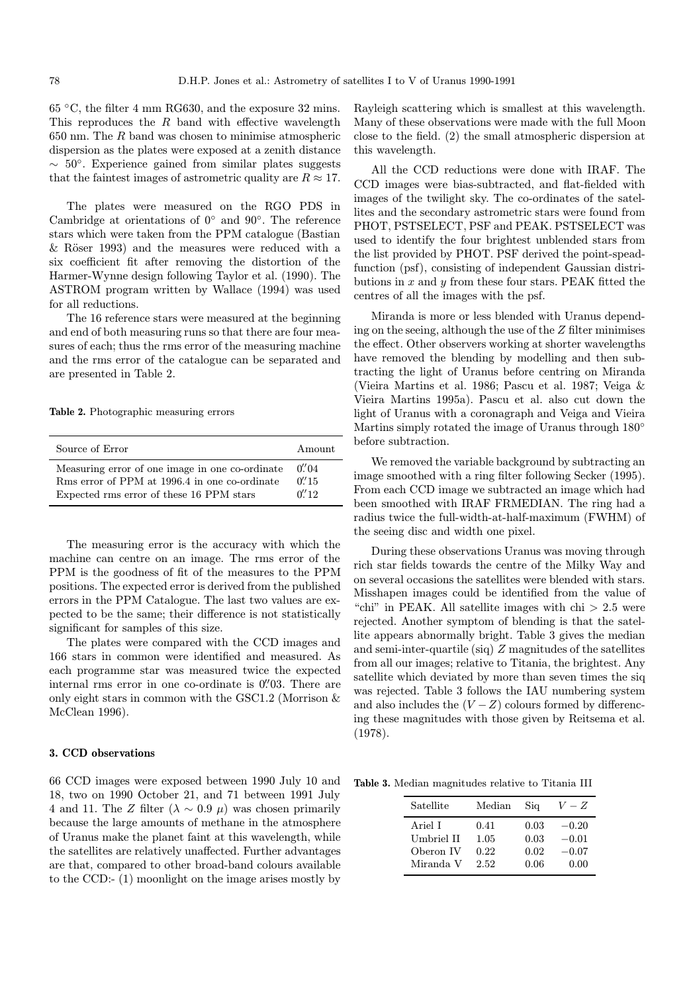65 ◦C, the filter 4 mm RG630, and the exposure 32 mins. This reproduces the  $R$  band with effective wavelength  $650$  nm. The  $R$  band was chosen to minimise atmospheric dispersion as the plates were exposed at a zenith distance  $\sim 50^{\circ}$ . Experience gained from similar plates suggests that the faintest images of astrometric quality are  $R \approx 17$ .

The plates were measured on the RGO PDS in Cambridge at orientations of  $0°$  and  $90°$ . The reference stars which were taken from the PPM catalogue (Bastian & Röser 1993) and the measures were reduced with a six coefficient fit after removing the distortion of the Harmer-Wynne design following Taylor et al. (1990). The ASTROM program written by Wallace (1994) was used for all reductions.

The 16 reference stars were measured at the beginning and end of both measuring runs so that there are four measures of each; thus the rms error of the measuring machine and the rms error of the catalogue can be separated and are presented in Table 2.

Table 2. Photographic measuring errors

| Source of Error                                 | Amount    |
|-------------------------------------------------|-----------|
| Measuring error of one image in one co-ordinate | $0''_004$ |
| Rms error of PPM at 1996.4 in one co-ordinate   | $0''$ 15  |
| Expected rms error of these 16 PPM stars        | 0''12     |

The measuring error is the accuracy with which the machine can centre on an image. The rms error of the PPM is the goodness of fit of the measures to the PPM positions. The expected error is derived from the published errors in the PPM Catalogue. The last two values are expected to be the same; their difference is not statistically significant for samples of this size.

The plates were compared with the CCD images and 166 stars in common were identified and measured. As each programme star was measured twice the expected internal rms error in one co-ordinate is  $0''/03$ . There are only eight stars in common with the GSC1.2 (Morrison & McClean 1996).

#### 3. CCD observations

66 CCD images were exposed between 1990 July 10 and 18, two on 1990 October 21, and 71 between 1991 July 4 and 11. The Z filter ( $\lambda \sim 0.9$   $\mu$ ) was chosen primarily because the large amounts of methane in the atmosphere of Uranus make the planet faint at this wavelength, while the satellites are relatively unaffected. Further advantages are that, compared to other broad-band colours available to the CCD:- (1) moonlight on the image arises mostly by

Rayleigh scattering which is smallest at this wavelength. Many of these observations were made with the full Moon close to the field. (2) the small atmospheric dispersion at this wavelength.

All the CCD reductions were done with IRAF. The CCD images were bias-subtracted, and flat-fielded with images of the twilight sky. The co-ordinates of the satellites and the secondary astrometric stars were found from PHOT, PSTSELECT, PSF and PEAK. PSTSELECT was used to identify the four brightest unblended stars from the list provided by PHOT. PSF derived the point-speadfunction (psf), consisting of independent Gaussian distributions in  $x$  and  $y$  from these four stars. PEAK fitted the centres of all the images with the psf.

Miranda is more or less blended with Uranus depending on the seeing, although the use of the  $Z$  filter minimises the effect. Other observers working at shorter wavelengths have removed the blending by modelling and then subtracting the light of Uranus before centring on Miranda (Vieira Martins et al. 1986; Pascu et al. 1987; Veiga & Vieira Martins 1995a). Pascu et al. also cut down the light of Uranus with a coronagraph and Veiga and Vieira Martins simply rotated the image of Uranus through  $180°$ before subtraction.

We removed the variable background by subtracting an image smoothed with a ring filter following Secker (1995). From each CCD image we subtracted an image which had been smoothed with IRAF FRMEDIAN. The ring had a radius twice the full-width-at-half-maximum (FWHM) of the seeing disc and width one pixel.

During these observations Uranus was moving through rich star fields towards the centre of the Milky Way and on several occasions the satellites were blended with stars. Misshapen images could be identified from the value of "chi" in PEAK. All satellite images with  $\chi$ hi  $> 2.5$  were rejected. Another symptom of blending is that the satellite appears abnormally bright. Table 3 gives the median and semi-inter-quartile (siq) Z magnitudes of the satellites from all our images; relative to Titania, the brightest. Any satellite which deviated by more than seven times the siq was rejected. Table 3 follows the IAU numbering system and also includes the  $(V - Z)$  colours formed by differencing these magnitudes with those given by Reitsema et al. (1978).

Table 3. Median magnitudes relative to Titania III

| Satellite  | Median | Sig  | $V-Z$   |
|------------|--------|------|---------|
| Ariel I    | 0.41   | 0.03 | $-0.20$ |
| Umbriel II | 1.05   | 0.03 | $-0.01$ |
| Oberon IV  | 0.22   | 0.02 | $-0.07$ |
| Miranda V  | 2.52   | 0.06 | 0.00    |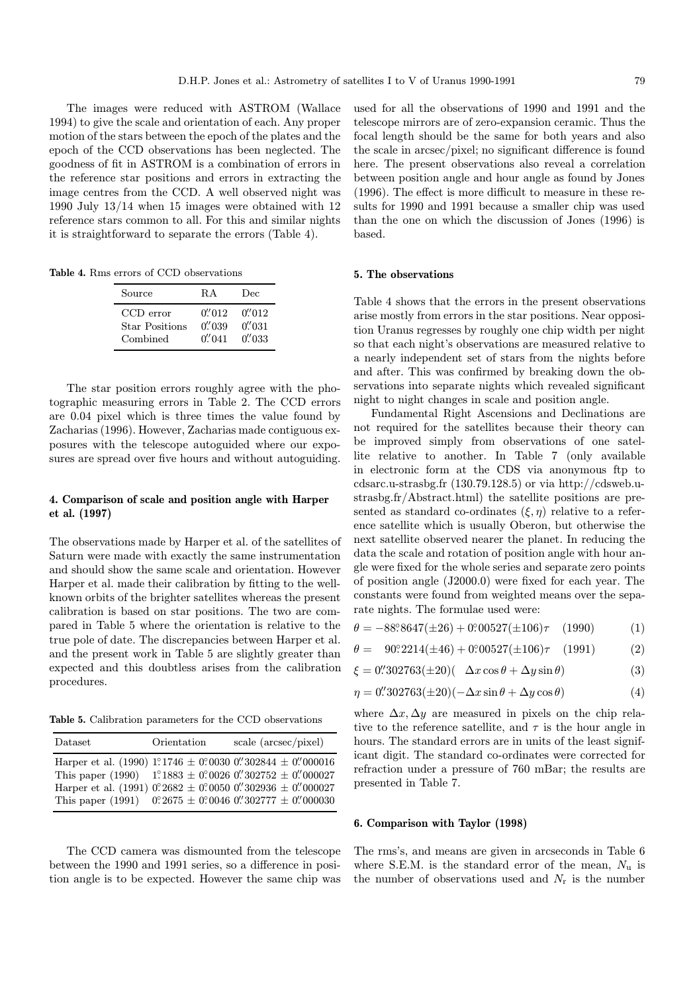The images were reduced with ASTROM (Wallace 1994) to give the scale and orientation of each. Any proper motion of the stars between the epoch of the plates and the epoch of the CCD observations has been neglected. The goodness of fit in ASTROM is a combination of errors in the reference star positions and errors in extracting the image centres from the CCD. A well observed night was 1990 July 13/14 when 15 images were obtained with 12 reference stars common to all. For this and similar nights it is straightforward to separate the errors (Table 4).

Table 4. Rms errors of CCD observations

| Source                | R.A      | Dec     |
|-----------------------|----------|---------|
| CCD error             | 0''/012  | 0''/012 |
| <b>Star Positions</b> | 0''/0.39 | 0''/031 |
| Combined              | 0''/041  | 0''/033 |

The star position errors roughly agree with the photographic measuring errors in Table 2. The CCD errors are 0.04 pixel which is three times the value found by Zacharias (1996). However, Zacharias made contiguous exposures with the telescope autoguided where our exposures are spread over five hours and without autoguiding.

## 4. Comparison of scale and position angle with Harper et al. (1997)

The observations made by Harper et al. of the satellites of Saturn were made with exactly the same instrumentation and should show the same scale and orientation. However Harper et al. made their calibration by fitting to the wellknown orbits of the brighter satellites whereas the present calibration is based on star positions. The two are compared in Table 5 where the orientation is relative to the true pole of date. The discrepancies between Harper et al. and the present work in Table 5 are slightly greater than expected and this doubtless arises from the calibration procedures.

Table 5. Calibration parameters for the CCD observations

| Dataset | Orientation | scale (arcsec/pixel)                                                                                                                                                                                                                                                                     |
|---------|-------------|------------------------------------------------------------------------------------------------------------------------------------------------------------------------------------------------------------------------------------------------------------------------------------------|
|         |             | Harper et al. (1990) 1°1746 ± 0°0030 0″302844 ± 0″000016<br>This paper (1990) 1.1883 ± 0.0026 0. 302752 ± 0. 000027<br>Harper et al. (1991) $0^{\circ}2682 \pm 0^{\circ}0050$ 0''302936 $\pm$ 0''000027<br>This paper (1991) $0^{\circ}2675 \pm 0^{\circ}0046$ 0''302777 $\pm$ 0''000030 |

The CCD camera was dismounted from the telescope between the 1990 and 1991 series, so a difference in position angle is to be expected. However the same chip was used for all the observations of 1990 and 1991 and the telescope mirrors are of zero-expansion ceramic. Thus the focal length should be the same for both years and also the scale in arcsec/pixel; no significant difference is found here. The present observations also reveal a correlation between position angle and hour angle as found by Jones (1996). The effect is more difficult to measure in these results for 1990 and 1991 because a smaller chip was used than the one on which the discussion of Jones (1996) is based.

## 5. The observations

Table 4 shows that the errors in the present observations arise mostly from errors in the star positions. Near opposition Uranus regresses by roughly one chip width per night so that each night's observations are measured relative to a nearly independent set of stars from the nights before and after. This was confirmed by breaking down the observations into separate nights which revealed significant night to night changes in scale and position angle.

Fundamental Right Ascensions and Declinations are not required for the satellites because their theory can be improved simply from observations of one satellite relative to another. In Table 7 (only available in electronic form at the CDS via anonymous ftp to cdsarc.u-strasbg.fr (130.79.128.5) or via http://cdsweb.ustrasbg.fr/Abstract.html) the satellite positions are presented as standard co-ordinates  $(\xi, \eta)$  relative to a reference satellite which is usually Oberon, but otherwise the next satellite observed nearer the planet. In reducing the data the scale and rotation of position angle with hour angle were fixed for the whole series and separate zero points of position angle (J2000.0) were fixed for each year. The constants were found from weighted means over the separate nights. The formulae used were:

$$
\theta = -88^{\circ}\,8647(\pm 26) + 0^{\circ}\,00527(\pm 106)\tau \quad (1990) \tag{1}
$$

$$
\theta = 90^{\circ}\,2214(\pm 46) + 0^{\circ}\,00527(\pm 106)\tau \quad (1991) \tag{2}
$$

$$
\xi = 0\text{''}302763(\pm 20)(\quad \Delta x \cos \theta + \Delta y \sin \theta) \tag{3}
$$

$$
\eta = 0.^{\prime\prime}302763(\pm 20)(-\Delta x \sin \theta + \Delta y \cos \theta) \tag{4}
$$

where  $\Delta x, \Delta y$  are measured in pixels on the chip relative to the reference satellite, and  $\tau$  is the hour angle in hours. The standard errors are in units of the least significant digit. The standard co-ordinates were corrected for refraction under a pressure of 760 mBar; the results are presented in Table 7.

## 6. Comparison with Taylor (1998)

The rms's, and means are given in arcseconds in Table 6 where S.E.M. is the standard error of the mean,  $N_u$  is the number of observations used and  $N_r$  is the number